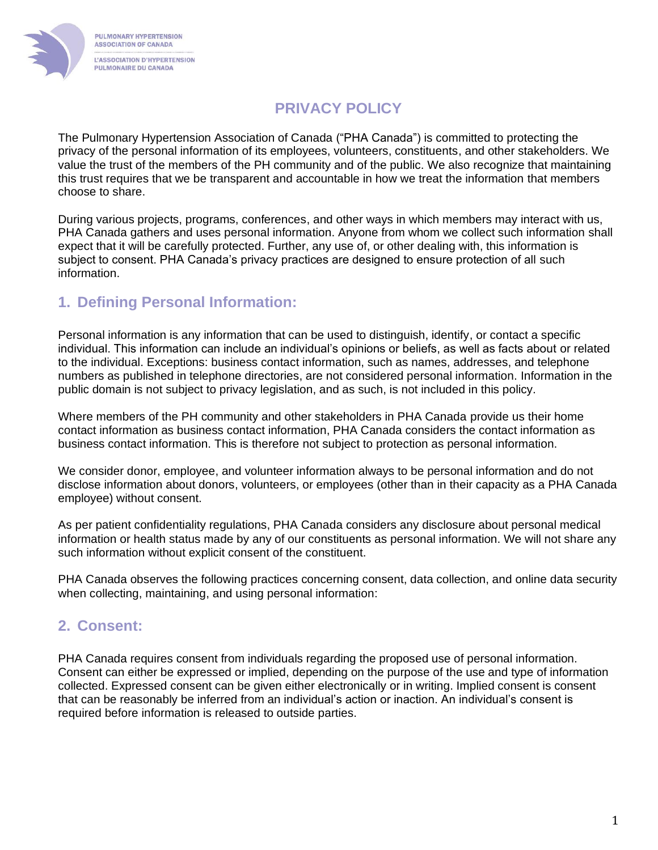

**ASSOCIATION OF CANADA L'ASSOCIATION D'HYPERTENSION PULMONAIRE DU CANADA** 

# **PRIVACY POLICY**

The Pulmonary Hypertension Association of Canada ("PHA Canada") is committed to protecting the privacy of the personal information of its employees, volunteers, constituents, and other stakeholders. We value the trust of the members of the PH community and of the public. We also recognize that maintaining this trust requires that we be transparent and accountable in how we treat the information that members choose to share.

During various projects, programs, conferences, and other ways in which members may interact with us, PHA Canada gathers and uses personal information. Anyone from whom we collect such information shall expect that it will be carefully protected. Further, any use of, or other dealing with, this information is subject to consent. PHA Canada's privacy practices are designed to ensure protection of all such information.

# **1. Defining Personal Information:**

Personal information is any information that can be used to distinguish, identify, or contact a specific individual. This information can include an individual's opinions or beliefs, as well as facts about or related to the individual. Exceptions: business contact information, such as names, addresses, and telephone numbers as published in telephone directories, are not considered personal information. Information in the public domain is not subject to privacy legislation, and as such, is not included in this policy.

Where members of the PH community and other stakeholders in PHA Canada provide us their home contact information as business contact information, PHA Canada considers the contact information as business contact information. This is therefore not subject to protection as personal information.

We consider donor, employee, and volunteer information always to be personal information and do not disclose information about donors, volunteers, or employees (other than in their capacity as a PHA Canada employee) without consent.

As per patient confidentiality regulations, PHA Canada considers any disclosure about personal medical information or health status made by any of our constituents as personal information. We will not share any such information without explicit consent of the constituent.

PHA Canada observes the following practices concerning consent, data collection, and online data security when collecting, maintaining, and using personal information:

## **2. Consent:**

PHA Canada requires consent from individuals regarding the proposed use of personal information. Consent can either be expressed or implied, depending on the purpose of the use and type of information collected. Expressed consent can be given either electronically or in writing. Implied consent is consent that can be reasonably be inferred from an individual's action or inaction. An individual's consent is required before information is released to outside parties.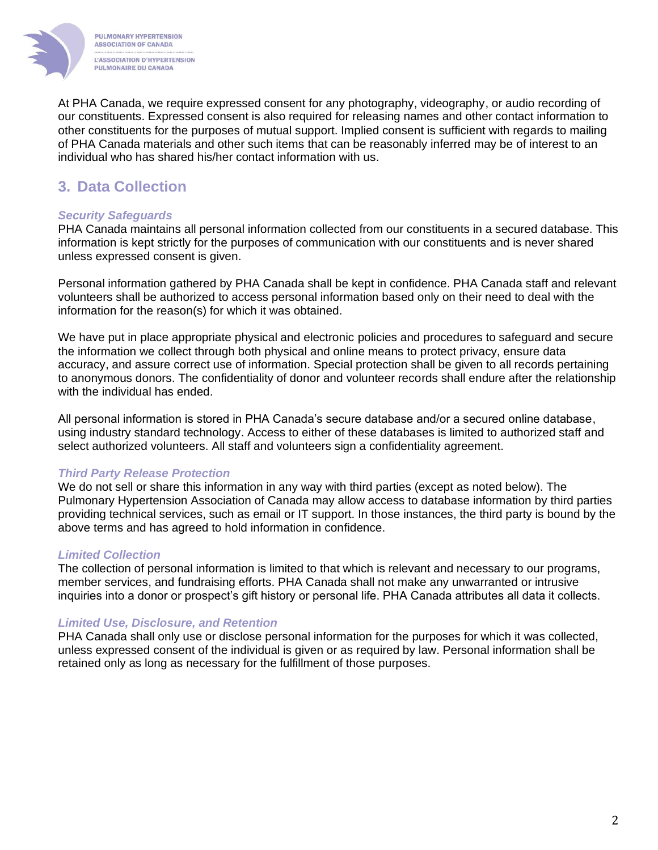

At PHA Canada, we require expressed consent for any photography, videography, or audio recording of our constituents. Expressed consent is also required for releasing names and other contact information to other constituents for the purposes of mutual support. Implied consent is sufficient with regards to mailing of PHA Canada materials and other such items that can be reasonably inferred may be of interest to an individual who has shared his/her contact information with us.

## **3. Data Collection**

## *Security Safeguards*

PHA Canada maintains all personal information collected from our constituents in a secured database. This information is kept strictly for the purposes of communication with our constituents and is never shared unless expressed consent is given.

Personal information gathered by PHA Canada shall be kept in confidence. PHA Canada staff and relevant volunteers shall be authorized to access personal information based only on their need to deal with the information for the reason(s) for which it was obtained.

We have put in place appropriate physical and electronic policies and procedures to safeguard and secure the information we collect through both physical and online means to protect privacy, ensure data accuracy, and assure correct use of information. Special protection shall be given to all records pertaining to anonymous donors. The confidentiality of donor and volunteer records shall endure after the relationship with the individual has ended.

All personal information is stored in PHA Canada's secure database and/or a secured online database, using industry standard technology. Access to either of these databases is limited to authorized staff and select authorized volunteers. All staff and volunteers sign a confidentiality agreement.

## *Third Party Release Protection*

We do not sell or share this information in any way with third parties (except as noted below). The Pulmonary Hypertension Association of Canada may allow access to database information by third parties providing technical services, such as email or IT support. In those instances, the third party is bound by the above terms and has agreed to hold information in confidence.

## *Limited Collection*

The collection of personal information is limited to that which is relevant and necessary to our programs, member services, and fundraising efforts. PHA Canada shall not make any unwarranted or intrusive inquiries into a donor or prospect's gift history or personal life. PHA Canada attributes all data it collects.

## *Limited Use, Disclosure, and Retention*

PHA Canada shall only use or disclose personal information for the purposes for which it was collected, unless expressed consent of the individual is given or as required by law. Personal information shall be retained only as long as necessary for the fulfillment of those purposes.